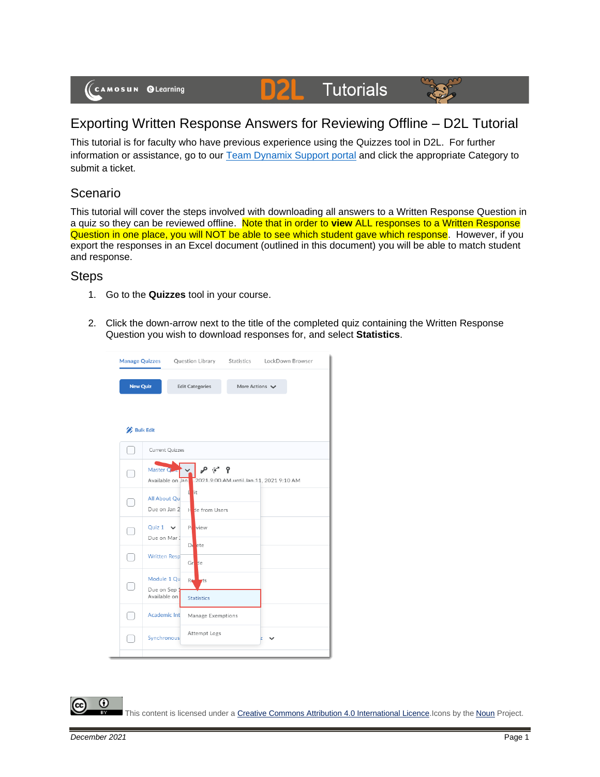# **D2L** Tutorials



This tutorial is for faculty who have previous experience using the Quizzes tool in D2L. For further information or assistance, go to our [Team Dynamix Support portal](https://camosun.teamdynamix.com/TDClient/67/Portal/Requests/ServiceCatalog?CategoryID=523) and click the appropriate Category to submit a ticket.

### Scenario

This tutorial will cover the steps involved with downloading all answers to a Written Response Question in a quiz so they can be reviewed offline. Note that in order to **view** ALL responses to a Written Response Question in one place, you will NOT be able to see which student gave which response. However, if you export the responses in an Excel document (outlined in this document) you will be able to match student and response.

#### **Steps**

- 1. Go to the **Quizzes** tool in your course.
- 2. Click the down-arrow next to the title of the completed quiz containing the Written Response Question you wish to download responses for, and select **Statistics**.



This content is licensed under [a Creative Commons Attribution 4.0 International Licence.I](https://creativecommons.org/licenses/by/4.0/)cons by the [Noun](https://creativecommons.org/website-icons/) Project.

⋒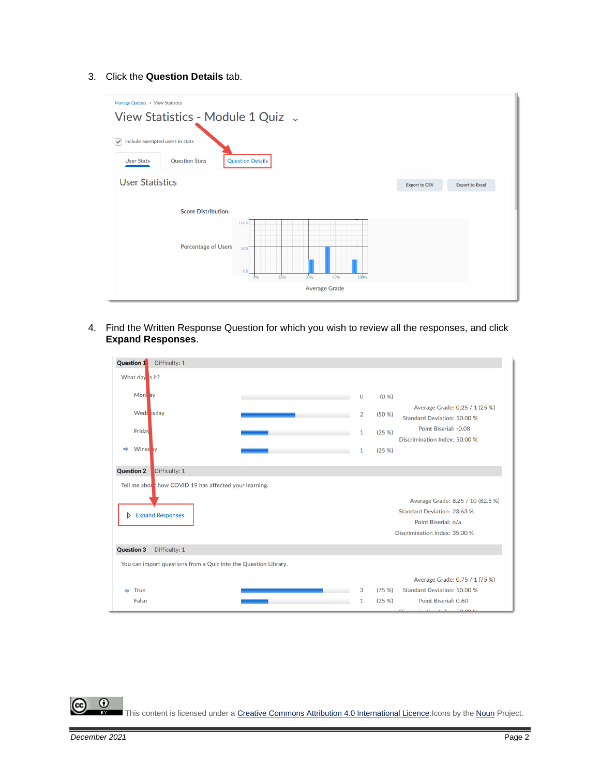#### 3. Click the **Question Details** tab.



4. Find the Written Response Question for which you wish to review all the responses, and click **Expand Responses**.

| <b>Question 1</b><br>Difficulty: 1                                           |              |       |                                                                                                                          |
|------------------------------------------------------------------------------|--------------|-------|--------------------------------------------------------------------------------------------------------------------------|
| What day is it?                                                              |              |       |                                                                                                                          |
| Mon ay                                                                       | 0            | (0 %) |                                                                                                                          |
| Wedr esday                                                                   | 2            | (50%  | Average Grade: 0.25 / 1 (25 %)<br>Standard Deviation: 50.00 %                                                            |
| Friday                                                                       | $\mathbf{1}$ | (25%) | Point Biserial: -0.08<br>Discrimination Index: 50.00 %                                                                   |
| Wined by<br>$\Rightarrow$                                                    | $\mathbf{1}$ | (25%) |                                                                                                                          |
| Difficulty: 1<br><b>Question 2</b>                                           |              |       |                                                                                                                          |
| Tell me about how COVID 19 has affected your learning.<br>> Expand Responses |              |       | Average Grade: 8.25 / 10 (82.5 %)<br>Standard Deviation: 23.63 %<br>Point Biserial: n/a<br>Discrimination Index: 35.00 % |
| <b>Question 3</b><br>Difficulty: 1                                           |              |       |                                                                                                                          |
| You can import questions from a Quiz into the Question Library.              |              |       |                                                                                                                          |
|                                                                              |              |       | Average Grade: 0.75 / 1 (75 %)                                                                                           |
| True<br>$\Rightarrow$                                                        | 3            | (75%  | Standard Deviation: 50.00 %                                                                                              |
| False                                                                        | 1            | (25%) | Point Biserial: 0.60<br>$D^*$ and $D^*$ and $D^*$ and $D^*$ and $D^*$ and $D^*$                                          |

 $\odot$ This content is licensed under [a Creative Commons Attribution 4.0 International Licence.I](https://creativecommons.org/licenses/by/4.0/)cons by the [Noun](https://creativecommons.org/website-icons/) Project.